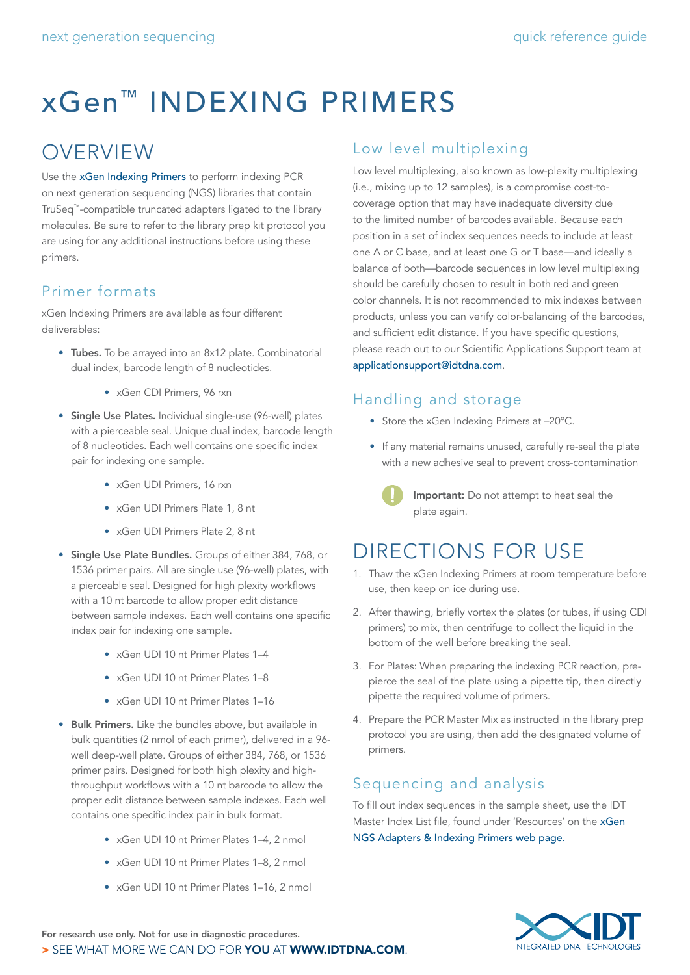# xGen™ INDEXING PRIMERS

## **OVERVIEW**

Use the [xGen Indexing Primers](https://www.idtdna.com/pages/products/next-generation-sequencing/workflow/xgen-ngs-library-preparation/ngs-adapters-indexing-primers) to perform indexing PCR on next generation sequencing (NGS) libraries that contain TruSeq™-compatible truncated adapters ligated to the library molecules. Be sure to refer to the library prep kit protocol you are using for any additional instructions before using these primers.

## Primer formats

xGen Indexing Primers are available as four different deliverables:

- Tubes. To be arrayed into an 8x12 plate. Combinatorial dual index, barcode length of 8 nucleotides.
	- xGen CDI Primers, 96 rxn
- Single Use Plates. Individual single-use (96-well) plates with a pierceable seal. Unique dual index, barcode length of 8 nucleotides. Each well contains one specific index pair for indexing one sample.
	- xGen UDI Primers, 16 rxn
	- xGen UDI Primers Plate 1, 8 nt
	- xGen UDI Primers Plate 2, 8 nt
- Single Use Plate Bundles. Groups of either 384, 768, or 1536 primer pairs. All are single use (96-well) plates, with a pierceable seal. Designed for high plexity workflows with a 10 nt barcode to allow proper edit distance between sample indexes. Each well contains one specific index pair for indexing one sample.
	- xGen UDI 10 nt Primer Plates 1-4
	- xGen UDI 10 nt Primer Plates 1–8
	- xGen UDI 10 nt Primer Plates 1–16
- Bulk Primers. Like the bundles above, but available in bulk quantities (2 nmol of each primer), delivered in a 96 well deep-well plate. Groups of either 384, 768, or 1536 primer pairs. Designed for both high plexity and highthroughput workflows with a 10 nt barcode to allow the proper edit distance between sample indexes. Each well contains one specific index pair in bulk format.
	- xGen UDI 10 nt Primer Plates 1–4, 2 nmol
	- xGen UDI 10 nt Primer Plates 1–8, 2 nmol
	- xGen UDI 10 nt Primer Plates 1–16, 2 nmol

## Low level multiplexing

Low level multiplexing, also known as low-plexity multiplexing (i.e., mixing up to 12 samples), is a compromise cost-tocoverage option that may have inadequate diversity due to the limited number of barcodes available. Because each position in a set of index sequences needs to include at least one A or C base, and at least one G or T base—and ideally a balance of both—barcode sequences in low level multiplexing should be carefully chosen to result in both red and green color channels. It is not recommended to mix indexes between products, unless you can verify color-balancing of the barcodes, and sufficient edit distance. If you have specific questions, please reach out to our Scientific Applications Support team at applicationsupport@idtdna.com.

## Handling and storage

- Store the xGen Indexing Primers at -20°C.
- If any material remains unused, carefully re-seal the plate with a new adhesive seal to prevent cross-contamination
	- Important: Do not attempt to heat seal the plate again.

## DIRECTIONS FOR USE

- 1. Thaw the xGen Indexing Primers at room temperature before use, then keep on ice during use.
- 2. After thawing, briefly vortex the plates (or tubes, if using CDI primers) to mix, then centrifuge to collect the liquid in the bottom of the well before breaking the seal.
- 3. For Plates: When preparing the indexing PCR reaction, prepierce the seal of the plate using a pipette tip, then directly pipette the required volume of primers.
- 4. Prepare the PCR Master Mix as instructed in the library prep protocol you are using, then add the designated volume of primers.

## Sequencing and analysis

To fill out index sequences in the sample sheet, use the IDT Master Index List file, found under 'Resources' on the [xGen](https://www.idtdna.com/pages/products/next-generation-sequencing/workflow/xgen-ngs-library-preparation/ngs-adapters-indexing-primers#resourcesI )  [NGS Adapters & Indexing Primers web page](https://www.idtdna.com/pages/products/next-generation-sequencing/workflow/xgen-ngs-library-preparation/ngs-adapters-indexing-primers#resourcesI ).

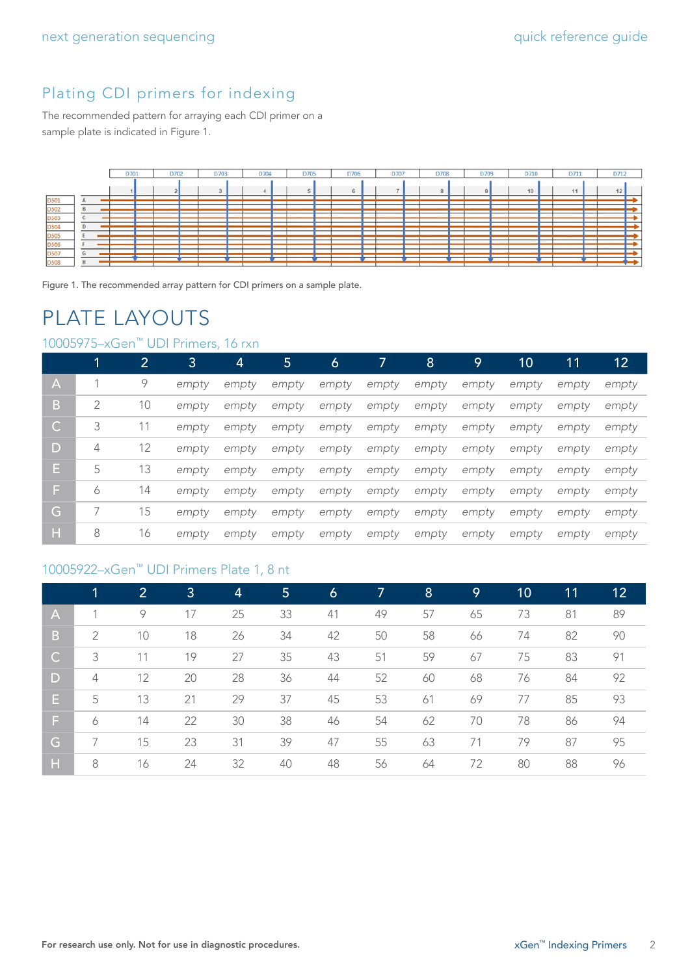## Plating CDI primers for indexing

The recommended pattern for arraying each CDI primer on a sample plate is indicated in Figure 1.

|             |               | D701 | D702 | D703 | D704 | D705 | D706 | D707 | D708 | D709 | D710 | D711 | D712 |
|-------------|---------------|------|------|------|------|------|------|------|------|------|------|------|------|
|             |               |      |      |      |      |      |      |      |      |      | 10   | 11   | 14   |
| D501        | $\mathbf{a}$  |      |      |      |      |      |      |      |      |      |      |      |      |
| <b>D502</b> | $\sf{B}$      |      |      |      |      |      |      |      |      |      |      |      | ∼    |
| <b>D503</b> | $\sim$        |      |      |      |      |      |      |      |      |      |      |      |      |
| D504        | $\mathsf{D}%$ |      |      |      |      |      |      |      |      |      |      |      |      |
| <b>D505</b> |               |      |      |      |      |      |      |      |      |      |      |      | --   |
| <b>D506</b> |               |      |      |      |      |      |      |      |      |      |      |      |      |
| D507        | $\mathbf{G}$  |      |      |      |      |      |      |      |      |      |      |      |      |
| <b>D508</b> | H             |      |      |      |      |      |      |      |      |      |      |      |      |

Figure 1. The recommended array pattern for CDI primers on a sample plate.

## PLATE LAYOUTS

## 10005975–xGen™ UDI Primers, 16 rxn

|                                      | 1 | $\overline{2}$ | 3     | 4     | 5     | 6     |       | 8     | 9     | 10    | 11    | $\overline{12}$ |
|--------------------------------------|---|----------------|-------|-------|-------|-------|-------|-------|-------|-------|-------|-----------------|
| A.                                   |   | 9              | empty | empty | empty | empty | empty | empty | empty | empty | empty | empty           |
| B                                    | 2 | 10             | empty | empty | empty | empty | empty | empty | empty | empty | empty | empty           |
| $\mathsf{C}^{\scriptscriptstyle{+}}$ | 3 | 11             | empty | empty | empty | empty | empty | empty | empty | empty | empty | empty           |
| D                                    | 4 | 12             | empty | empty | empty | empty | empty | empty | empty | empty | empty | empty           |
| E.                                   | 5 | 13             | empty | empty | empty | empty | empty | empty | empty | empty | empty | empty           |
| F.                                   | 6 | 14             | empty | empty | empty | empty | empty | empty | empty | empty | empty | empty           |
| G                                    |   | 15             | empty | empty | empty | empty | empty | empty | empty | empty | empty | empty           |
| н                                    | 8 | 16             | empty | empty | empty | empty | empty | empty | empty | empty | empty | empty           |

## 10005922–xGen™ UDI Primers Plate 1, 8 nt

|              |                | 2  | 3  | 4  | 5. | 6  | 7  | 8  | 9  | 10 | 11 | 12 <sub>2</sub> |
|--------------|----------------|----|----|----|----|----|----|----|----|----|----|-----------------|
| A,           |                | 9  | 17 | 25 | 33 | 41 | 49 | 57 | 65 | 73 | 81 | 89              |
| B            | 2              | 10 | 18 | 26 | 34 | 42 | 50 | 58 | 66 | 74 | 82 | 90              |
| $\mathsf{C}$ | 3              | 11 | 19 | 27 | 35 | 43 | 51 | 59 | 67 | 75 | 83 | 91              |
| D            | $\overline{4}$ | 12 | 20 | 28 | 36 | 44 | 52 | 60 | 68 | 76 | 84 | 92              |
| E.           | 5              | 13 | 21 | 29 | 37 | 45 | 53 | 61 | 69 | 77 | 85 | 93              |
| E.           | 6              | 14 | 22 | 30 | 38 | 46 | 54 | 62 | 70 | 78 | 86 | 94              |
| G            | 7              | 15 | 23 | 31 | 39 | 47 | 55 | 63 | 71 | 79 | 87 | 95              |
| H            | 8              | 16 | 24 | 32 | 40 | 48 | 56 | 64 | 72 | 80 | 88 | 96              |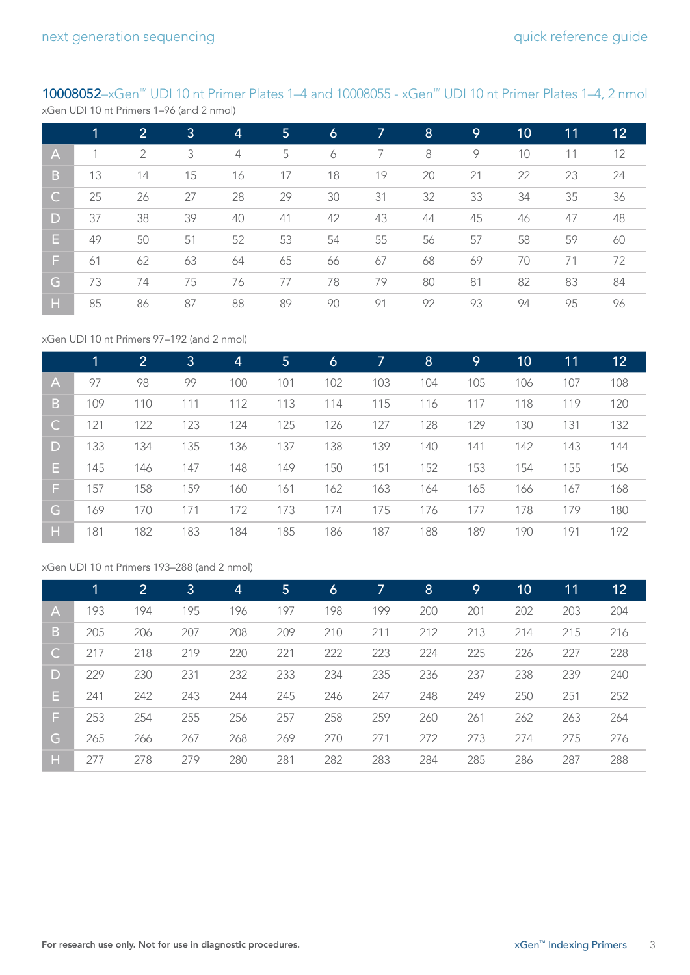## [10008052](https://www.idtdna.com/site/order/stock/partnbr/10008052)–xGen™ UDI 10 nt Primer Plates 1–4 and 10008055 - xGen™ UDI 10 nt Primer Plates 1–4, 2 nmol xGen UDI 10 nt Primers 1–96 (and 2 nmol)

|              | 1  | $\overline{2}$ | 3  | 4  | 5  | 6  | 7  | 8  | 9  | 10 | 11 | 12 |
|--------------|----|----------------|----|----|----|----|----|----|----|----|----|----|
| IA j         |    | 2              | 3  | 4  | 5  | 6  | 7  | 8  | 9  | 10 | 11 | 12 |
| B.           | 13 | 14             | 15 | 16 | 17 | 18 | 19 | 20 | 21 | 22 | 23 | 24 |
| $\mathsf{C}$ | 25 | 26             | 27 | 28 | 29 | 30 | 31 | 32 | 33 | 34 | 35 | 36 |
| D            | 37 | 38             | 39 | 40 | 41 | 42 | 43 | 44 | 45 | 46 | 47 | 48 |
| Е.           | 49 | 50             | 51 | 52 | 53 | 54 | 55 | 56 | 57 | 58 | 59 | 60 |
| F.           | 61 | 62             | 63 | 64 | 65 | 66 | 67 | 68 | 69 | 70 | 71 | 72 |
| G.           | 73 | 74             | 75 | 76 | 77 | 78 | 79 | 80 | 81 | 82 | 83 | 84 |
| H            | 85 | 86             | 87 | 88 | 89 | 90 | 91 | 92 | 93 | 94 | 95 | 96 |

#### xGen UDI 10 nt Primers 97–192 (and 2 nmol)

|              | 1   | $\overline{2}$ | 3   | 4   | 5 <sup>1</sup> | 6   |     | 8   | 9   | 10  | 11  | 12 <sub>2</sub> |
|--------------|-----|----------------|-----|-----|----------------|-----|-----|-----|-----|-----|-----|-----------------|
| IA,          | 97  | 98             | 99  | 100 | 101            | 102 | 103 | 104 | 105 | 106 | 107 | 108             |
| B.           | 109 | 110            | 111 | 112 | 113            | 114 | 115 | 116 | 117 | 118 | 119 | 120             |
| $\mathsf{C}$ | 121 | 122            | 123 | 124 | 125            | 126 | 127 | 128 | 129 | 130 | 131 | 132             |
| D            | 133 | 134            | 135 | 136 | 137            | 138 | 139 | 140 | 141 | 142 | 143 | 144             |
| Е.           | 145 | 146            | 147 | 148 | 149            | 150 | 151 | 152 | 153 | 154 | 155 | 156             |
| F.           | 157 | 158            | 159 | 160 | 161            | 162 | 163 | 164 | 165 | 166 | 167 | 168             |
| G            | 169 | 170            | 171 | 172 | 173            | 174 | 175 | 176 | 177 | 178 | 179 | 180             |
| н            | 181 | 182            | 183 | 184 | 185            | 186 | 187 | 188 | 189 | 190 | 191 | 192             |

#### xGen UDI 10 nt Primers 193–288 (and 2 nmol)

|              | 1   | $\overline{2}$ | 3   | $\overline{4}$ | $5\phantom{.}$ | 6   |     | 8   | 9   | 10  | 11  | 12 <sub>2</sub> |
|--------------|-----|----------------|-----|----------------|----------------|-----|-----|-----|-----|-----|-----|-----------------|
| A            | 193 | 194            | 195 | 196            | 197            | 198 | 199 | 200 | 201 | 202 | 203 | 204             |
| B            | 205 | 206            | 207 | 208            | 209            | 210 | 211 | 212 | 213 | 214 | 215 | 216             |
| $\mathsf{C}$ | 217 | 218            | 219 | 220            | 221            | 222 | 223 | 224 | 225 | 226 | 227 | 228             |
| D            | 229 | 230            | 231 | 232            | 233            | 234 | 235 | 236 | 237 | 238 | 239 | 240             |
| E.           | 241 | 242            | 243 | 244            | 245            | 246 | 247 | 248 | 249 | 250 | 251 | 252             |
| F.           | 253 | 254            | 255 | 256            | 257            | 258 | 259 | 260 | 261 | 262 | 263 | 264             |
| G            | 265 | 266            | 267 | 268            | 269            | 270 | 271 | 272 | 273 | 274 | 275 | 276             |
| н            | 277 | 278            | 279 | 280            | 281            | 282 | 283 | 284 | 285 | 286 | 287 | 288             |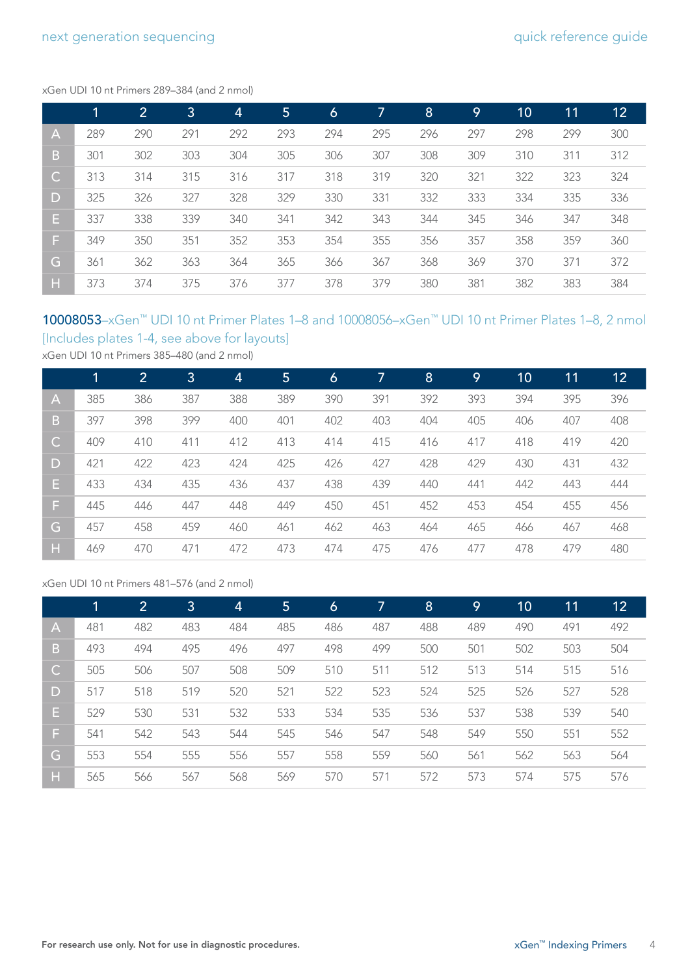#### xGen UDI 10 nt Primers 289–384 (and 2 nmol)

|              | 1   | $\overline{2}$ | 3   | $\overline{4}$ | 5   | $\mathbf{6}$ | $\overline{7}$ | 8   | 9   | 10  | $\overline{1}1$ | 12  |
|--------------|-----|----------------|-----|----------------|-----|--------------|----------------|-----|-----|-----|-----------------|-----|
| $\mathsf{A}$ | 289 | 290            | 291 | 292            | 293 | 294          | 295            | 296 | 297 | 298 | 299             | 300 |
| B            | 301 | 302            | 303 | 304            | 305 | 306          | 307            | 308 | 309 | 310 | 311             | 312 |
| $\mathsf{C}$ | 313 | 314            | 315 | 316            | 317 | 318          | 319            | 320 | 321 | 322 | 323             | 324 |
| D            | 325 | 326            | 327 | 328            | 329 | 330          | 331            | 332 | 333 | 334 | 335             | 336 |
| Е.           | 337 | 338            | 339 | 340            | 341 | 342          | 343            | 344 | 345 | 346 | 347             | 348 |
| F.           | 349 | 350            | 351 | 352            | 353 | 354          | 355            | 356 | 357 | 358 | 359             | 360 |
| G            | 361 | 362            | 363 | 364            | 365 | 366          | 367            | 368 | 369 | 370 | 371             | 372 |
| н            | 373 | 374            | 375 | 376            | 377 | 378          | 379            | 380 | 381 | 382 | 383             | 384 |

## [10008053](https://www.idtdna.com/site/order/stock/partnbr/10008053)–xGen™ UDI 10 nt Primer Plates 1–8 and 10008056–xGen™ UDI 10 nt Primer Plates 1–8, 2 nmol [Includes plates 1-4, see above for layouts]

xGen UDI 10 nt Primers 385–480 (and 2 nmol)

|              | 1   | $\overline{2}$ | 3 <sub>1</sub> | $\overline{4}$ | 5   | $\ddot{o}$ | 7   | 8   | 9   | 10  | 11  | 12  |
|--------------|-----|----------------|----------------|----------------|-----|------------|-----|-----|-----|-----|-----|-----|
| A            | 385 | 386            | 387            | 388            | 389 | 390        | 391 | 392 | 393 | 394 | 395 | 396 |
| B            | 397 | 398            | 399            | 400            | 401 | 402        | 403 | 404 | 405 | 406 | 407 | 408 |
| $\mathsf{C}$ | 409 | 410            | 411            | 412            | 413 | 414        | 415 | 416 | 417 | 418 | 419 | 420 |
| D            | 421 | 422            | 423            | 424            | 425 | 426        | 427 | 428 | 429 | 430 | 431 | 432 |
| E.           | 433 | 434            | 435            | 436            | 437 | 438        | 439 | 440 | 441 | 442 | 443 | 444 |
| F.           | 445 | 446            | 447            | 448            | 449 | 450        | 451 | 452 | 453 | 454 | 455 | 456 |
| G            | 457 | 458            | 459            | 460            | 461 | 462        | 463 | 464 | 465 | 466 | 467 | 468 |
| H            | 469 | 470            | 471            | 472            | 473 | 474        | 475 | 476 | 477 | 478 | 479 | 480 |

#### xGen UDI 10 nt Primers 481–576 (and 2 nmol)

|              | $\mathbf 1$ | $\overline{2}$ | 3   | $\overline{4}$ | 5   | 6   |     | 8   | 9   | 10  | 11  | 12  |
|--------------|-------------|----------------|-----|----------------|-----|-----|-----|-----|-----|-----|-----|-----|
| $\mathsf{A}$ | 481         | 482            | 483 | 484            | 485 | 486 | 487 | 488 | 489 | 490 | 491 | 492 |
| B.           | 493         | 494            | 495 | 496            | 497 | 498 | 499 | 500 | 501 | 502 | 503 | 504 |
| $\mathsf{C}$ | 505         | 506            | 507 | 508            | 509 | 510 | 511 | 512 | 513 | 514 | 515 | 516 |
| D            | 517         | 518            | 519 | 520            | 521 | 522 | 523 | 524 | 525 | 526 | 527 | 528 |
| Е.           | 529         | 530            | 531 | 532            | 533 | 534 | 535 | 536 | 537 | 538 | 539 | 540 |
| F.           | 541         | 542            | 543 | 544            | 545 | 546 | 547 | 548 | 549 | 550 | 551 | 552 |
| G            | 553         | 554            | 555 | 556            | 557 | 558 | 559 | 560 | 561 | 562 | 563 | 564 |
| н            | 565         | 566            | 567 | 568            | 569 | 570 | 571 | 572 | 573 | 574 | 575 | 576 |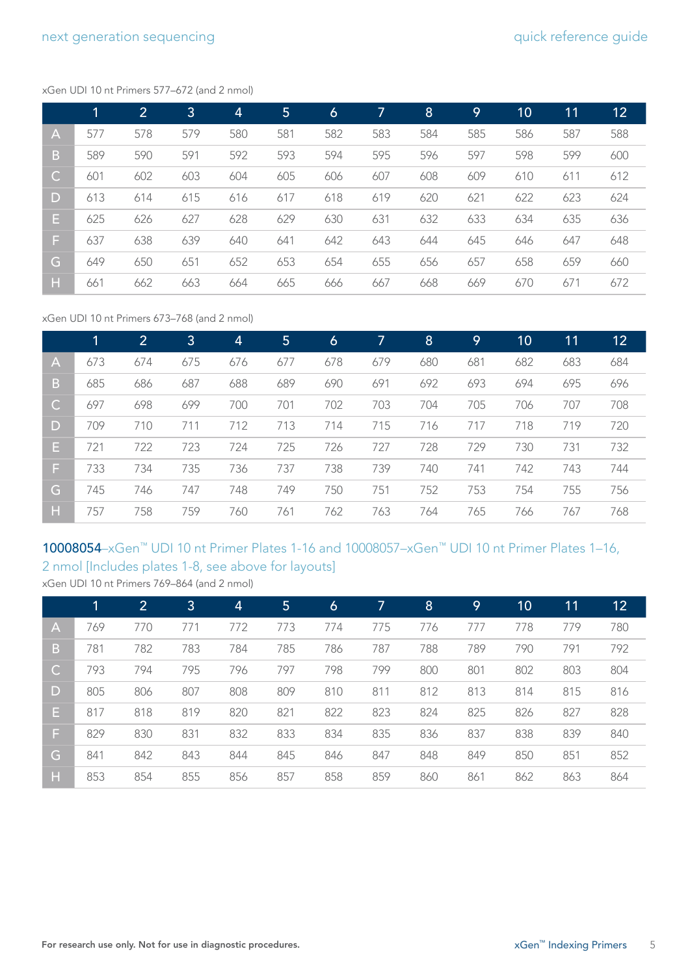#### xGen UDI 10 nt Primers 577–672 (and 2 nmol)

|              | 1   | 2   | 3   | $\overline{4}$ | 5   | $\ddot{\delta}$ |     | 8   | 9   | 10  | 11  | 12  |
|--------------|-----|-----|-----|----------------|-----|-----------------|-----|-----|-----|-----|-----|-----|
| $\mathsf{A}$ | 577 | 578 | 579 | 580            | 581 | 582             | 583 | 584 | 585 | 586 | 587 | 588 |
| B.           | 589 | 590 | 591 | 592            | 593 | 594             | 595 | 596 | 597 | 598 | 599 | 600 |
| $\mathsf{C}$ | 601 | 602 | 603 | 604            | 605 | 606             | 607 | 608 | 609 | 610 | 611 | 612 |
| D            | 613 | 614 | 615 | 616            | 617 | 618             | 619 | 620 | 621 | 622 | 623 | 624 |
| Е.           | 625 | 626 | 627 | 628            | 629 | 630             | 631 | 632 | 633 | 634 | 635 | 636 |
| F.           | 637 | 638 | 639 | 640            | 641 | 642             | 643 | 644 | 645 | 646 | 647 | 648 |
| G            | 649 | 650 | 651 | 652            | 653 | 654             | 655 | 656 | 657 | 658 | 659 | 660 |
| н            | 661 | 662 | 663 | 664            | 665 | 666             | 667 | 668 | 669 | 670 | 671 | 672 |

### xGen UDI 10 nt Primers 673–768 (and 2 nmol)

|              | 1   | $\overline{2}$ | 3   | 4   | 5   | 6   |     | 8   | 9   | 10  | 11  | 12  |
|--------------|-----|----------------|-----|-----|-----|-----|-----|-----|-----|-----|-----|-----|
| IA,          | 673 | 674            | 675 | 676 | 677 | 678 | 679 | 680 | 681 | 682 | 683 | 684 |
| B            | 685 | 686            | 687 | 688 | 689 | 690 | 691 | 692 | 693 | 694 | 695 | 696 |
| $\mathsf{C}$ | 697 | 698            | 699 | 700 | 701 | 702 | 703 | 704 | 705 | 706 | 707 | 708 |
| D            | 709 | 710            | 711 | 712 | 713 | 714 | 715 | 716 | 717 | 718 | 719 | 720 |
| Е.           | 721 | 722            | 723 | 724 | 725 | 726 | 727 | 728 | 729 | 730 | 731 | 732 |
| F.           | 733 | 734            | 735 | 736 | 737 | 738 | 739 | 740 | 741 | 742 | 743 | 744 |
| G            | 745 | 746            | 747 | 748 | 749 | 750 | 751 | 752 | 753 | 754 | 755 | 756 |
| н            | 757 | 758            | 759 | 760 | 761 | 762 | 763 | 764 | 765 | 766 | 767 | 768 |

## [10008054](https://www.idtdna.com/site/order/stock/partnbr/10008054)–xGen™ UDI 10 nt Primer Plates 1-16 and 10008057–xGen™ UDI 10 nt Primer Plates 1–16, 2 nmol [Includes plates 1-8, see above for layouts]

xGen UDI 10 nt Primers 769–864 (and 2 nmol)

|              | 1   | $\overline{2}$ | 3   | 4   | 5   | 6   |     | 8   | 9   | 10  | 11  | 12 <sub>2</sub> |
|--------------|-----|----------------|-----|-----|-----|-----|-----|-----|-----|-----|-----|-----------------|
| A            | 769 | 770            | 771 | 772 | 773 | 774 | 775 | 776 | 777 | 778 | 779 | 780             |
| B            | 781 | 782            | 783 | 784 | 785 | 786 | 787 | 788 | 789 | 790 | 791 | 792             |
| $\mathsf{C}$ | 793 | 794            | 795 | 796 | 797 | 798 | 799 | 800 | 801 | 802 | 803 | 804             |
| D            | 805 | 806            | 807 | 808 | 809 | 810 | 811 | 812 | 813 | 814 | 815 | 816             |
| Е.           | 817 | 818            | 819 | 820 | 821 | 822 | 823 | 824 | 825 | 826 | 827 | 828             |
| F.           | 829 | 830            | 831 | 832 | 833 | 834 | 835 | 836 | 837 | 838 | 839 | 840             |
| G            | 841 | 842            | 843 | 844 | 845 | 846 | 847 | 848 | 849 | 850 | 851 | 852             |
| н            | 853 | 854            | 855 | 856 | 857 | 858 | 859 | 860 | 861 | 862 | 863 | 864             |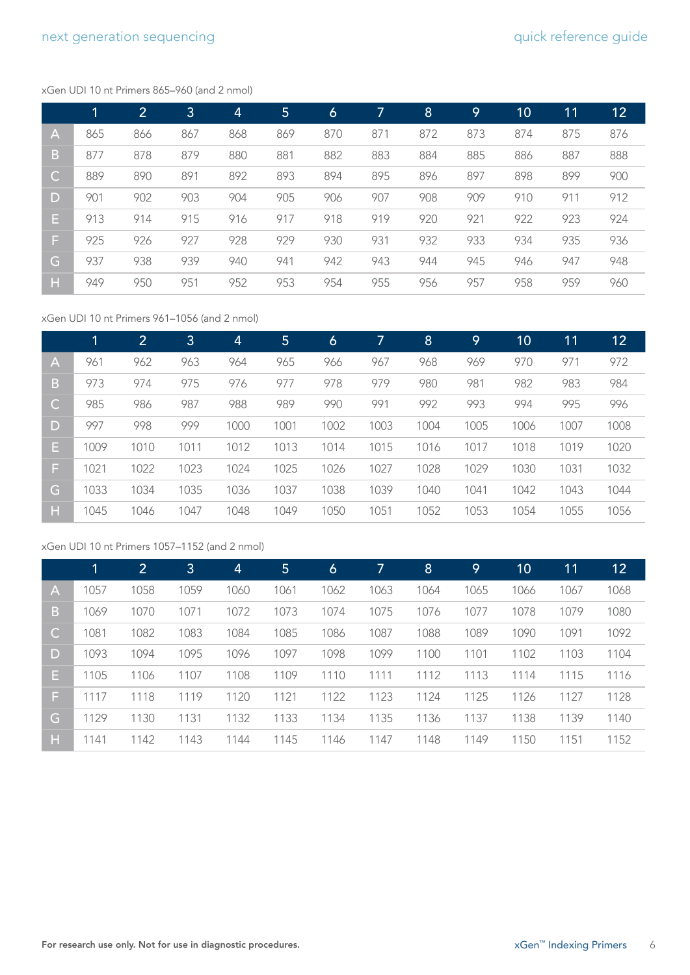#### xGen UDI 10 nt Primers 865–960 (and 2 nmol)

|              | 1   | $\overline{2}$ | 3   | 4   | 5 <sup>5</sup> | $\ddot{\mathbf{6}}$ | 7   | 8   | 9   | 10  | 11  | 12  |
|--------------|-----|----------------|-----|-----|----------------|---------------------|-----|-----|-----|-----|-----|-----|
| ZA7          | 865 | 866            | 867 | 868 | 869            | 870                 | 871 | 872 | 873 | 874 | 875 | 876 |
| B            | 877 | 878            | 879 | 880 | 881            | 882                 | 883 | 884 | 885 | 886 | 887 | 888 |
| $\mathsf{C}$ | 889 | 890            | 891 | 892 | 893            | 894                 | 895 | 896 | 897 | 898 | 899 | 900 |
| D            | 901 | 902            | 903 | 904 | 905            | 906                 | 907 | 908 | 909 | 910 | 911 | 912 |
| E.           | 913 | 914            | 915 | 916 | 917            | 918                 | 919 | 920 | 921 | 922 | 923 | 924 |
| F.           | 925 | 926            | 927 | 928 | 929            | 930                 | 931 | 932 | 933 | 934 | 935 | 936 |
| G            | 937 | 938            | 939 | 940 | 941            | 942                 | 943 | 944 | 945 | 946 | 947 | 948 |
| Н            | 949 | 950            | 951 | 952 | 953            | 954                 | 955 | 956 | 957 | 958 | 959 | 960 |

## xGen UDI 10 nt Primers 961–1056 (and 2 nmol)

|              | 1    | $\overline{2}$ | 3    | 4    | 5 <sup>5</sup> | 6    |      | 8    | 9    | 10   | 11   | 12 <sub>2</sub> |
|--------------|------|----------------|------|------|----------------|------|------|------|------|------|------|-----------------|
| A            | 961  | 962            | 963  | 964  | 965            | 966  | 967  | 968  | 969  | 970  | 971  | 972             |
| B,           | 973  | 974            | 975  | 976  | 977            | 978  | 979  | 980  | 981  | 982  | 983  | 984             |
| $\mathsf{C}$ | 985  | 986            | 987  | 988  | 989            | 990  | 991  | 992  | 993  | 994  | 995  | 996             |
| D            | 997  | 998            | 999  | 1000 | 1001           | 1002 | 1003 | 1004 | 1005 | 1006 | 1007 | 1008            |
| Е.           | 1009 | 1010           | 1011 | 1012 | 1013           | 1014 | 1015 | 1016 | 1017 | 1018 | 1019 | 1020            |
| F.           | 1021 | 1022           | 1023 | 1024 | 1025           | 1026 | 1027 | 1028 | 1029 | 1030 | 1031 | 1032            |
| G            | 1033 | 1034           | 1035 | 1036 | 1037           | 1038 | 1039 | 1040 | 1041 | 1042 | 1043 | 1044            |
| н            | 1045 | 1046           | 1047 | 1048 | 1049           | 1050 | 1051 | 1052 | 1053 | 1054 | 1055 | 1056            |

#### xGen UDI 10 nt Primers 1057–1152 (and 2 nmol)

|              | 1    | $\overline{2}$ | 3    | $\overline{4}$ | $5\phantom{.}$ | 6    |      | 8    | 9    | 10   | 11   | 12 <sub>2</sub> |
|--------------|------|----------------|------|----------------|----------------|------|------|------|------|------|------|-----------------|
| A            | 1057 | 1058           | 1059 | 1060           | 1061           | 1062 | 1063 | 1064 | 1065 | 1066 | 1067 | 1068            |
| B            | 1069 | 1070           | 1071 | 1072           | 1073           | 1074 | 1075 | 1076 | 1077 | 1078 | 1079 | 1080            |
| $\mathsf{C}$ | 1081 | 1082           | 1083 | 1084           | 1085           | 1086 | 1087 | 1088 | 1089 | 1090 | 1091 | 1092            |
| D            | 1093 | 1094           | 1095 | 1096           | 1097           | 1098 | 1099 | 1100 | 1101 | 1102 | 1103 | 1104            |
| Е.           | 1105 | 1106           | 1107 | 1108           | 1109           | 1110 | 1111 | 1112 | 1113 | 1114 | 1115 | 1116            |
| F.           | 1117 | 1118           | 1119 | 1120           | 1121           | 1122 | 1123 | 1124 | 1125 | 1126 | 1127 | 1128            |
| G            | 1129 | 1130           | 1131 | 1132           | 1133           | 1134 | 1135 | 1136 | 1137 | 1138 | 1139 | 1140            |
| н            | 1141 | 1142           | 1143 | 1144           | 1145           | 1146 | 1147 | 1148 | 1149 | 1150 | 1151 | 1152            |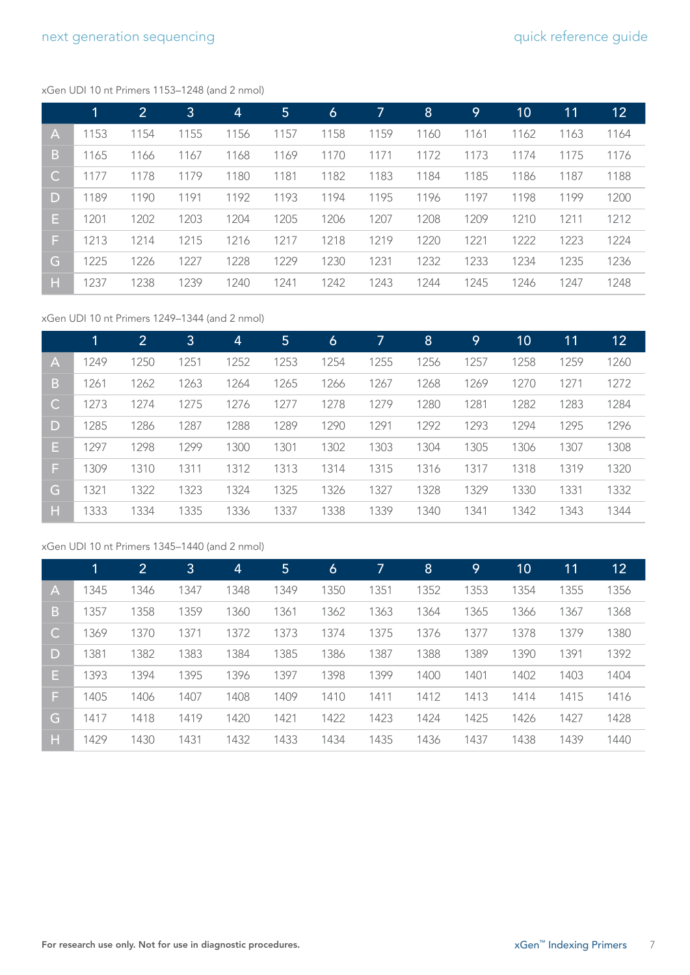#### xGen UDI 10 nt Primers 1153–1248 (and 2 nmol)

|              | 1    | $\overline{2}$ | 3    | 4    | 5 <sup>5</sup> | 6    |      | 8    | 9    | 10   | 11   | 12 <sub>2</sub> |
|--------------|------|----------------|------|------|----------------|------|------|------|------|------|------|-----------------|
| TA J         | 1153 | 1154           | 1155 | 1156 | 1157           | 1158 | 1159 | 1160 | 1161 | 1162 | 1163 | 1164            |
| B            | 1165 | 1166           | 1167 | 1168 | 1169           | 1170 | 1171 | 1172 | 1173 | 1174 | 1175 | 1176            |
| $\mathsf{C}$ | 1177 | 1178           | 1179 | 1180 | 1181           | 1182 | 1183 | 1184 | 1185 | 1186 | 1187 | 1188            |
| D            | 1189 | 1190           | 1191 | 1192 | 1193           | 1194 | 1195 | 1196 | 1197 | 1198 | 1199 | 1200            |
| Е.           | 1201 | 1202           | 1203 | 1204 | 1205           | 1206 | 1207 | 1208 | 1209 | 1210 | 1211 | 1212            |
| F.           | 1213 | 1214           | 1215 | 1216 | 1217           | 1218 | 1219 | 1220 | 1221 | 1222 | 1223 | 1224            |
| G            | 1225 | 1226           | 1227 | 1228 | 1229           | 1230 | 1231 | 1232 | 1233 | 1234 | 1235 | 1236            |
| ١H           | 1237 | 1238           | 1239 | 1240 | 1241           | 1242 | 1243 | 1244 | 1245 | 1246 | 1247 | 1248            |

## xGen UDI 10 nt Primers 1249–1344 (and 2 nmol)

|              | 1    | $\overline{2}$ | 3    | $\overline{4}$ | 5    | $\ddot{\mathbf{6}}$ |      | 8    | 9    | 10   | 11   | 12 <sub>2</sub> |
|--------------|------|----------------|------|----------------|------|---------------------|------|------|------|------|------|-----------------|
| A            | 1249 | 1250           | 1251 | 1252           | 1253 | 1254                | 1255 | 1256 | 1257 | 1258 | 1259 | 1260            |
| B            | 1261 | 1262           | 1263 | 1264           | 1265 | 1266                | 1267 | 1268 | 1269 | 1270 | 1271 | 1272            |
| $\mathsf{C}$ | 1273 | 1274           | 1275 | 1276           | 1277 | 1278                | 1279 | 1280 | 1281 | 1282 | 1283 | 1284            |
| D            | 1285 | 1286           | 1287 | 1288           | 1289 | 1290                | 1291 | 1292 | 1293 | 1294 | 1295 | 1296            |
| Е.           | 1297 | 1298           | 1299 | 1300           | 1301 | 1302                | 1303 | 1304 | 1305 | 1306 | 1307 | 1308            |
| F.           | 1309 | 1310           | 1311 | 1312           | 1313 | 1314                | 1315 | 1316 | 1317 | 1318 | 1319 | 1320            |
| G            | 1321 | 1322           | 1323 | 1324           | 1325 | 1326                | 1327 | 1328 | 1329 | 1330 | 1331 | 1332            |
| н            | 1333 | 1334           | 1335 | 1336           | 1337 | 1338                | 1339 | 1340 | 1341 | 1342 | 1343 | 1344            |

#### xGen UDI 10 nt Primers 1345–1440 (and 2 nmol)

|              | 1    | $\overline{2}$ | 3    | $\overline{4}$ | 5    | 6    |      | 8    | 9    | 10   | 11   | 12 <sub>2</sub> |
|--------------|------|----------------|------|----------------|------|------|------|------|------|------|------|-----------------|
| A            | 1345 | 1346           | 1347 | 1348           | 1349 | 1350 | 1351 | 1352 | 1353 | 1354 | 1355 | 1356            |
| B            | 1357 | 1358           | 1359 | 1360           | 1361 | 1362 | 1363 | 1364 | 1365 | 1366 | 1367 | 1368            |
| $\mathsf{C}$ | 1369 | 1370           | 1371 | 1372           | 1373 | 1374 | 1375 | 1376 | 1377 | 1378 | 1379 | 1380            |
| D            | 1381 | 1382           | 1383 | 1384           | 1385 | 1386 | 1387 | 1388 | 1389 | 1390 | 1391 | 1392            |
| E.           | 1393 | 1394           | 1395 | 1396           | 1397 | 1398 | 1399 | 1400 | 1401 | 1402 | 1403 | 1404            |
| F.           | 1405 | 1406           | 1407 | 1408           | 1409 | 1410 | 1411 | 1412 | 1413 | 1414 | 1415 | 1416            |
| G            | 1417 | 1418           | 1419 | 1420           | 1421 | 1422 | 1423 | 1424 | 1425 | 1426 | 1427 | 1428            |
| н            | 1429 | 1430           | 1431 | 1432           | 1433 | 1434 | 1435 | 1436 | 1437 | 1438 | 1439 | 1440            |